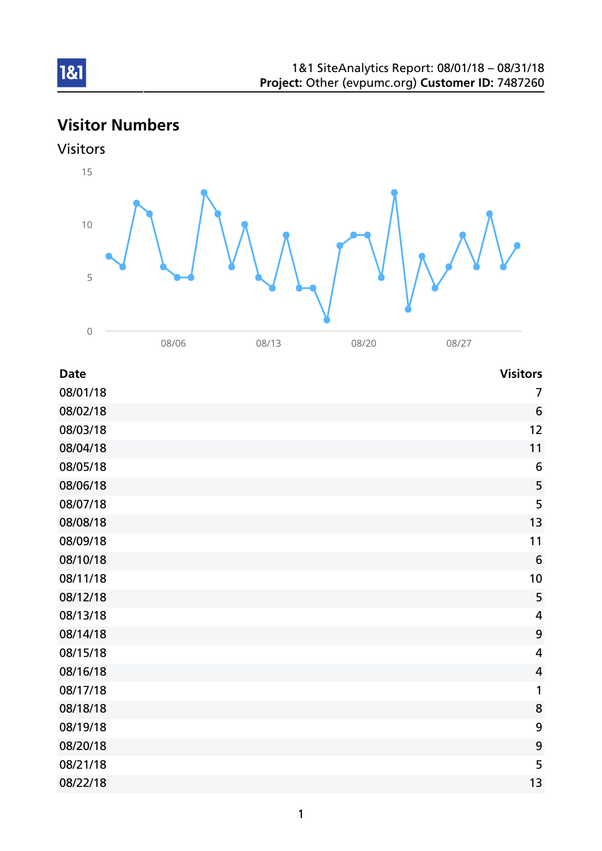# Visitor Numbers





| <b>Date</b> | <b>Visitors</b>         |
|-------------|-------------------------|
| 08/01/18    | 7                       |
| 08/02/18    | 6                       |
| 08/03/18    | 12                      |
| 08/04/18    | 11                      |
| 08/05/18    | $6\phantom{1}6$         |
| 08/06/18    | 5                       |
| 08/07/18    | 5                       |
| 08/08/18    | 13                      |
| 08/09/18    | 11                      |
| 08/10/18    | 6                       |
| 08/11/18    | 10                      |
| 08/12/18    | 5                       |
| 08/13/18    | 4                       |
| 08/14/18    | 9                       |
| 08/15/18    | $\overline{\mathbf{4}}$ |
| 08/16/18    | $\overline{4}$          |
| 08/17/18    | 1                       |
| 08/18/18    | 8                       |
| 08/19/18    | 9                       |
| 08/20/18    | 9                       |
| 08/21/18    | 5                       |
| 08/22/18    | 13                      |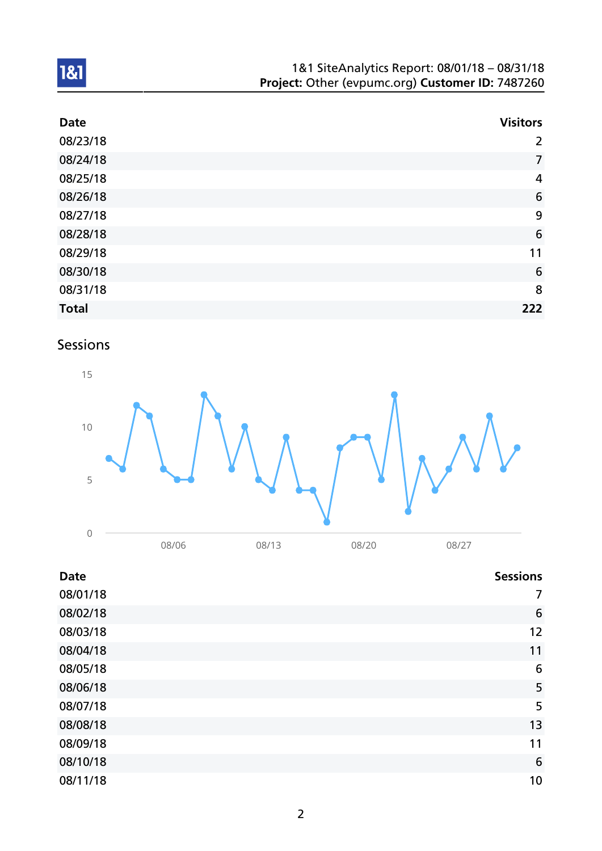| 1&1 SiteAnalytics Report: 08/01/18 - 08/31/18    |  |
|--------------------------------------------------|--|
| Project: Other (evpumc.org) Customer ID: 7487260 |  |

| <b>Date</b>  | <b>Visitors</b> |
|--------------|-----------------|
| 08/23/18     | $\overline{2}$  |
| 08/24/18     | $\overline{7}$  |
| 08/25/18     | $\overline{4}$  |
| 08/26/18     | 6               |
| 08/27/18     | 9               |
| 08/28/18     | $6\phantom{1}6$ |
| 08/29/18     | 11              |
| 08/30/18     | 6               |
| 08/31/18     | 8               |
| <b>Total</b> | 222             |

## Sessions



| <b>Date</b> | <b>Sessions</b> |
|-------------|-----------------|
| 08/01/18    | 7               |
| 08/02/18    | $6\phantom{1}6$ |
| 08/03/18    | 12              |
| 08/04/18    | 11              |
| 08/05/18    | $6\phantom{1}6$ |
| 08/06/18    | 5               |
| 08/07/18    | 5               |
| 08/08/18    | 13              |
| 08/09/18    | 11              |
| 08/10/18    | $6\phantom{1}6$ |
| 08/11/18    | 10              |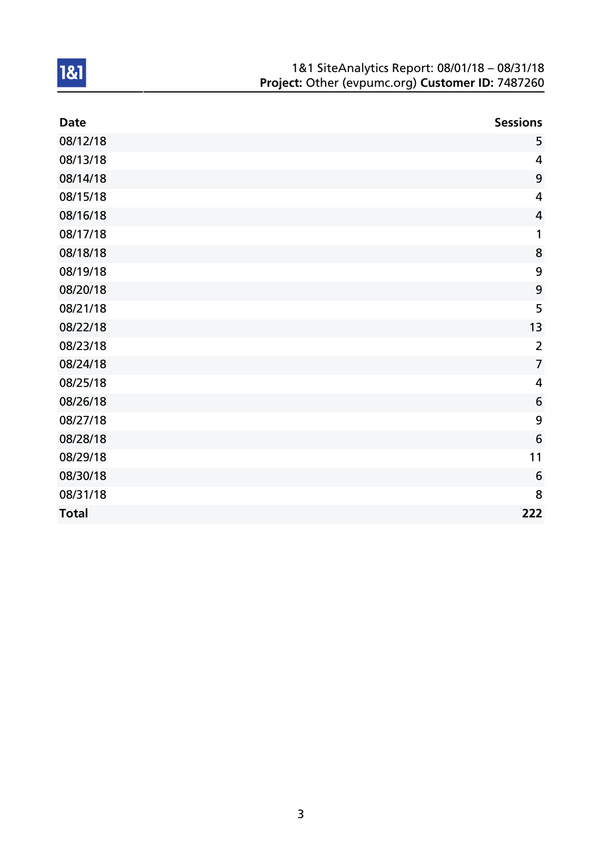| 1&1 SiteAnalytics Report: 08/01/18 - 08/31/18    |
|--------------------------------------------------|
| Project: Other (evpumc.org) Customer ID: 7487260 |

| <b>Date</b>  | <b>Sessions</b> |
|--------------|-----------------|
| 08/12/18     | 5               |
| 08/13/18     | 4               |
| 08/14/18     | 9               |
| 08/15/18     | $\overline{4}$  |
| 08/16/18     | $\overline{4}$  |
| 08/17/18     | 1               |
| 08/18/18     | 8               |
| 08/19/18     | 9               |
| 08/20/18     | 9               |
| 08/21/18     | 5               |
| 08/22/18     | 13              |
| 08/23/18     | $\overline{2}$  |
| 08/24/18     | $\overline{7}$  |
| 08/25/18     | $\overline{4}$  |
| 08/26/18     | 6               |
| 08/27/18     | 9               |
| 08/28/18     | 6               |
| 08/29/18     | 11              |
| 08/30/18     | 6               |
| 08/31/18     | 8               |
| <b>Total</b> | 222             |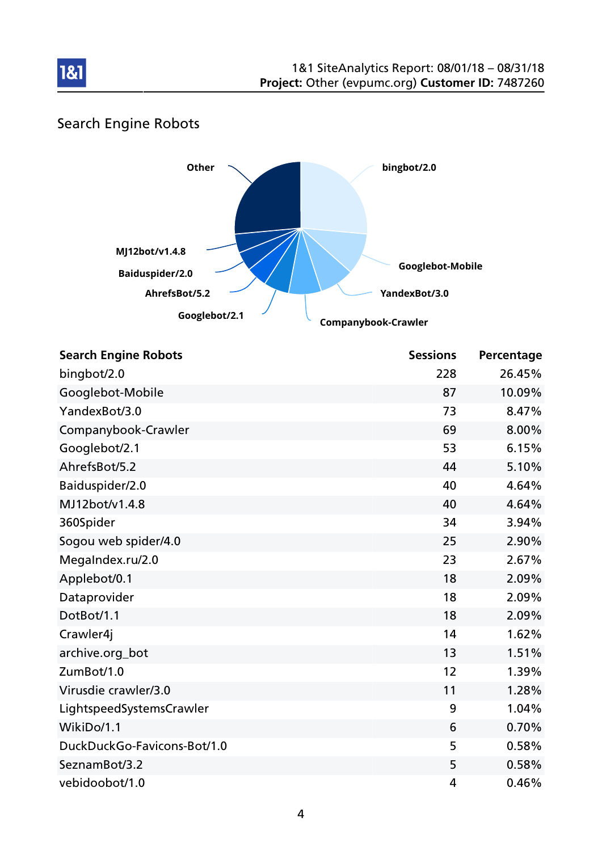

### Search Engine Robots



| <b>Search Engine Robots</b> | <b>Sessions</b> | Percentage |
|-----------------------------|-----------------|------------|
| bingbot/2.0                 | 228             | 26.45%     |
| Googlebot-Mobile            | 87              | 10.09%     |
| YandexBot/3.0               | 73              | 8.47%      |
| Companybook-Crawler         | 69              | 8.00%      |
| Googlebot/2.1               | 53              | 6.15%      |
| AhrefsBot/5.2               | 44              | 5.10%      |
| Baiduspider/2.0             | 40              | 4.64%      |
| MJ12bot/v1.4.8              | 40              | 4.64%      |
| 360Spider                   | 34              | 3.94%      |
| Sogou web spider/4.0        | 25              | 2.90%      |
| MegaIndex.ru/2.0            | 23              | 2.67%      |
| Applebot/0.1                | 18              | 2.09%      |
| Dataprovider                | 18              | 2.09%      |
| DotBot/1.1                  | 18              | 2.09%      |
| Crawler4j                   | 14              | 1.62%      |
| archive.org_bot             | 13              | 1.51%      |
| ZumBot/1.0                  | 12              | 1.39%      |
| Virusdie crawler/3.0        | 11              | 1.28%      |
| LightspeedSystemsCrawler    | 9               | 1.04%      |
| WikiDo/1.1                  | 6               | 0.70%      |
| DuckDuckGo-Favicons-Bot/1.0 | 5               | 0.58%      |
| SeznamBot/3.2               | 5               | 0.58%      |
| vebidoobot/1.0              | 4               | 0.46%      |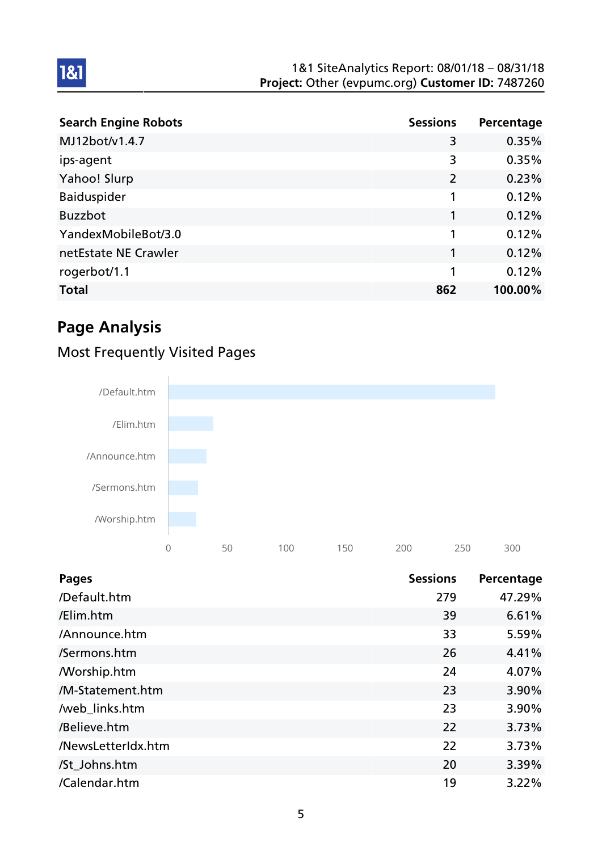| <b>Search Engine Robots</b> | <b>Sessions</b> | Percentage |
|-----------------------------|-----------------|------------|
| MJ12bot/v1.4.7              | 3               | 0.35%      |
| ips-agent                   | 3               | 0.35%      |
| Yahoo! Slurp                | $\overline{2}$  | 0.23%      |
| <b>Baiduspider</b>          | 1               | 0.12%      |
| <b>Buzzbot</b>              | 1               | 0.12%      |
| YandexMobileBot/3.0         | 1               | 0.12%      |
| netEstate NE Crawler        | 1               | 0.12%      |
| rogerbot/1.1                | 1               | 0.12%      |
| <b>Total</b>                | 862             | 100.00%    |

## Page Analysis

1&1

## Most Frequently Visited Pages



| <b>Pages</b>       | <b>Sessions</b> | Percentage |
|--------------------|-----------------|------------|
| /Default.htm       | 279             | 47.29%     |
| /Elim.htm          | 39              | 6.61%      |
| /Announce.htm      | 33              | 5.59%      |
| /Sermons.htm       | 26              | 4.41%      |
| /Worship.htm       | 24              | 4.07%      |
| /M-Statement.htm   | 23              | 3.90%      |
| /web_links.htm     | 23              | 3.90%      |
| /Believe.htm       | 22              | 3.73%      |
| /NewsLetterIdx.htm | 22              | 3.73%      |
| /St Johns.htm      | 20              | 3.39%      |
| /Calendar.htm      | 19              | 3.22%      |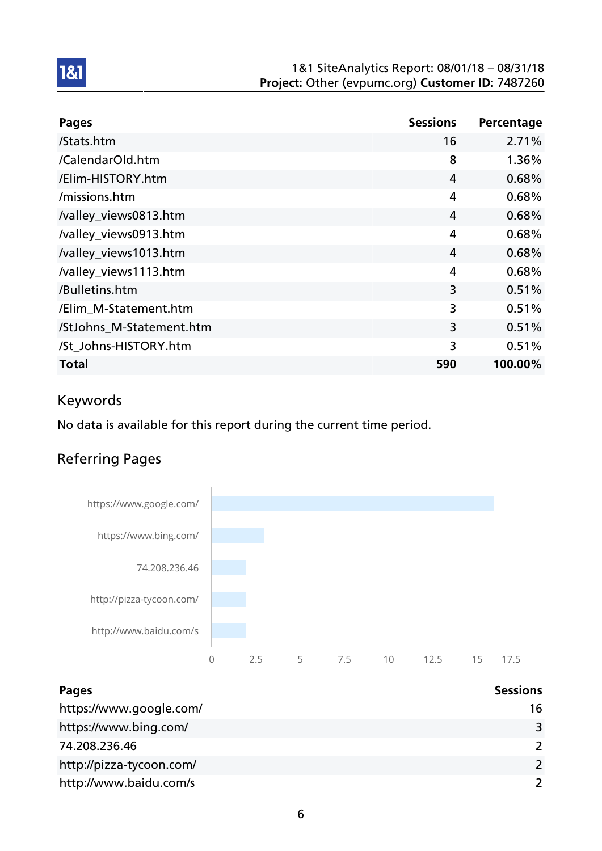| <b>Pages</b>             | <b>Sessions</b> | Percentage |
|--------------------------|-----------------|------------|
| /Stats.htm               | 16              | 2.71%      |
| /CalendarOld.htm         | 8               | 1.36%      |
| /Elim-HISTORY.htm        | 4               | 0.68%      |
| /missions.htm            | 4               | 0.68%      |
| /valley_views0813.htm    | 4               | 0.68%      |
| /valley_views0913.htm    | 4               | 0.68%      |
| /valley_views1013.htm    | 4               | 0.68%      |
| /valley_views1113.htm    | 4               | 0.68%      |
| /Bulletins.htm           | 3               | 0.51%      |
| /Elim_M-Statement.htm    | 3               | 0.51%      |
| /StJohns M-Statement.htm | 3               | 0.51%      |
| /St_Johns-HISTORY.htm    | 3               | 0.51%      |
| <b>Total</b>             | 590             | 100.00%    |

### Keywords

1&1

No data is available for this report during the current time period.

### Referring Pages



| <b>Pages</b>             | <b>Sessions</b> |
|--------------------------|-----------------|
| https://www.google.com/  | 16              |
| https://www.bing.com/    | 3               |
| 74.208.236.46            | $\mathcal{L}$   |
| http://pizza-tycoon.com/ | $\mathcal{L}$   |
| http://www.baidu.com/s   | $\mathcal{L}$   |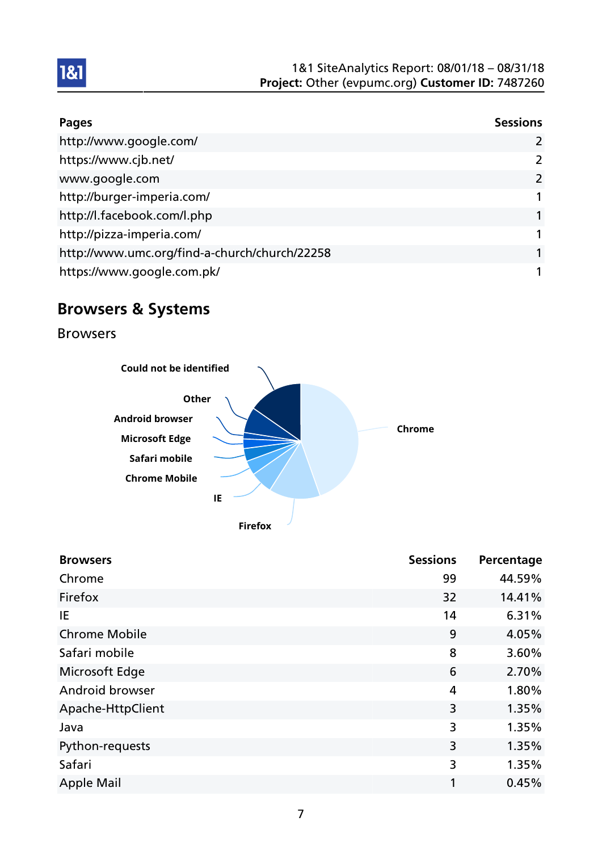| <b>Pages</b>                                  | <b>Sessions</b> |
|-----------------------------------------------|-----------------|
| http://www.google.com/                        | 2               |
| https://www.cjb.net/                          | $\mathcal{P}$   |
| www.google.com                                | $\overline{2}$  |
| http://burger-imperia.com/                    |                 |
| http://l.facebook.com/l.php                   |                 |
| http://pizza-imperia.com/                     |                 |
| http://www.umc.org/find-a-church/church/22258 |                 |
| https://www.google.com.pk/                    |                 |

## Browsers & Systems

Browsers



| <b>Browsers</b>        | <b>Sessions</b> | Percentage |
|------------------------|-----------------|------------|
| Chrome                 | 99              | 44.59%     |
| Firefox                | 32              | 14.41%     |
| ΙE                     | 14              | 6.31%      |
| <b>Chrome Mobile</b>   | 9               | 4.05%      |
| Safari mobile          | 8               | 3.60%      |
| Microsoft Edge         | 6               | 2.70%      |
| <b>Android browser</b> | 4               | 1.80%      |
| Apache-HttpClient      | 3               | 1.35%      |
| Java                   | 3               | 1.35%      |
| Python-requests        | 3               | 1.35%      |
| Safari                 | 3               | 1.35%      |
| <b>Apple Mail</b>      | 1               | 0.45%      |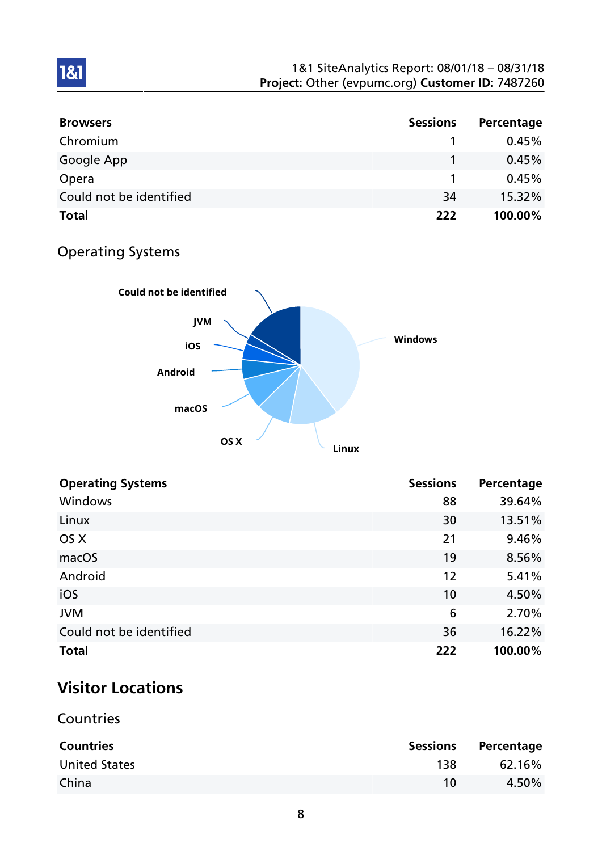| <b>Browsers</b>         | <b>Sessions</b> | Percentage |
|-------------------------|-----------------|------------|
| Chromium                |                 | 0.45%      |
| Google App              |                 | 0.45%      |
| Opera                   |                 | 0.45%      |
| Could not be identified | 34              | 15.32%     |
| <b>Total</b>            | 222             | 100.00%    |

### Operating Systems

1&1



| <b>Operating Systems</b> | <b>Sessions</b> | Percentage |
|--------------------------|-----------------|------------|
| Windows                  | 88              | 39.64%     |
| Linux                    | 30              | 13.51%     |
| OS X                     | 21              | 9.46%      |
| macOS                    | 19              | 8.56%      |
| Android                  | 12              | 5.41%      |
| iOS                      | 10              | 4.50%      |
| <b>JVM</b>               | 6               | 2.70%      |
| Could not be identified  | 36              | 16.22%     |
| <b>Total</b>             | 222             | 100.00%    |

## Visitor Locations

**Countries** 

| <b>Countries</b>     | <b>Sessions</b> | Percentage |
|----------------------|-----------------|------------|
| <b>United States</b> | 138             | 62.16%     |
| China                | 10              | 4.50%      |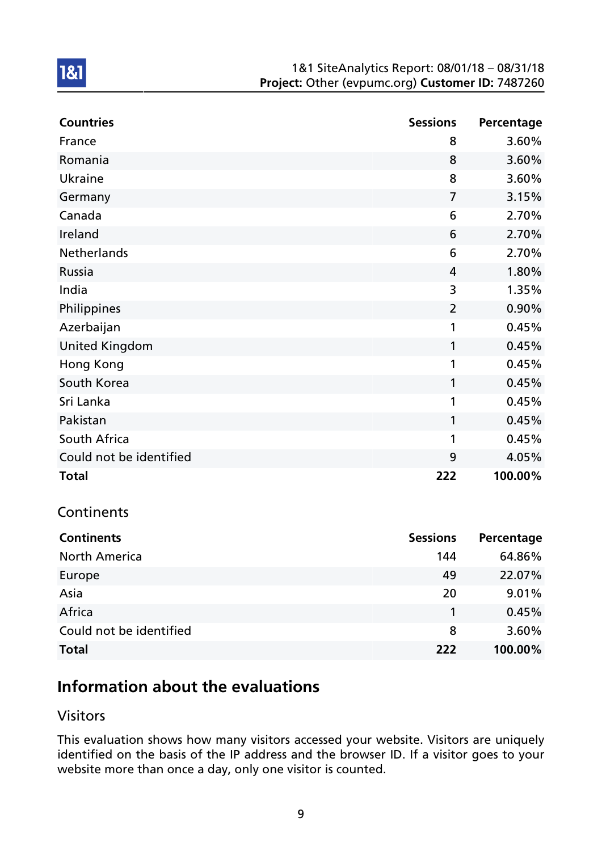| <b>Countries</b>        | <b>Sessions</b> | Percentage |
|-------------------------|-----------------|------------|
| France                  | 8               | 3.60%      |
| Romania                 | 8               | 3.60%      |
| Ukraine                 | 8               | 3.60%      |
| Germany                 | $\overline{7}$  | 3.15%      |
| Canada                  | 6               | 2.70%      |
| Ireland                 | 6               | 2.70%      |
| Netherlands             | 6               | 2.70%      |
| Russia                  | 4               | 1.80%      |
| India                   | 3               | 1.35%      |
| Philippines             | $\overline{2}$  | 0.90%      |
| Azerbaijan              | 1               | 0.45%      |
| <b>United Kingdom</b>   | 1               | 0.45%      |
| Hong Kong               | 1               | 0.45%      |
| South Korea             | 1               | 0.45%      |
| Sri Lanka               | 1               | 0.45%      |
| Pakistan                | 1               | 0.45%      |
| South Africa            | 1               | 0.45%      |
| Could not be identified | 9               | 4.05%      |
| <b>Total</b>            | 222             | 100.00%    |

### **Continents**

1&1

| <b>Continents</b>       | <b>Sessions</b> | Percentage |
|-------------------------|-----------------|------------|
| <b>North America</b>    | 144             | 64.86%     |
| Europe                  | 49              | 22.07%     |
| Asia                    | 20              | 9.01%      |
| Africa                  |                 | 0.45%      |
| Could not be identified | 8               | 3.60%      |
| <b>Total</b>            | 222             | 100.00%    |

## Information about the evaluations

### Visitors

This evaluation shows how many visitors accessed your website. Visitors are uniquely identified on the basis of the IP address and the browser ID. If a visitor goes to your website more than once a day, only one visitor is counted.